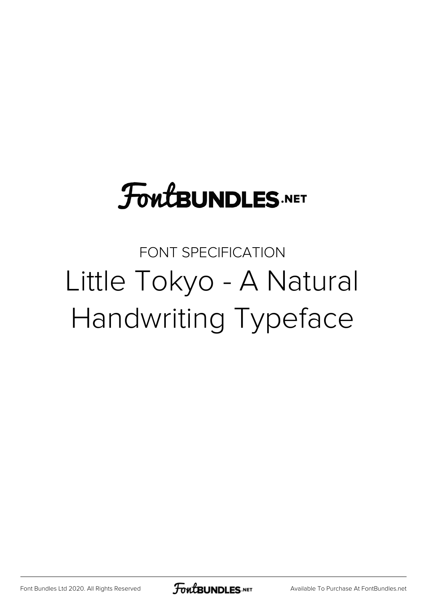## **FoutBUNDLES.NET**

### FONT SPECIFICATION Little Tokyo - A Natural Handwriting Typeface

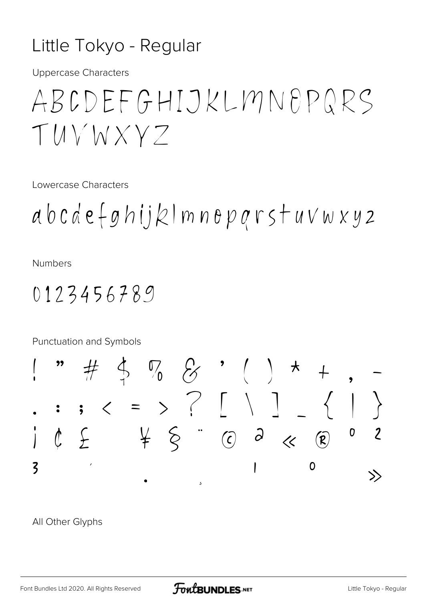#### Little Tokyo - Regular

**Uppercase Characters** 

## ABCDEFGHIJKLMNOPQRS TUVWXYZ

Lowercase Characters

 $abcd$ e fghijklmnoparstuvwxy2

**Numbers** 

0123456789

Punctuation and Symbols



All Other Glyphs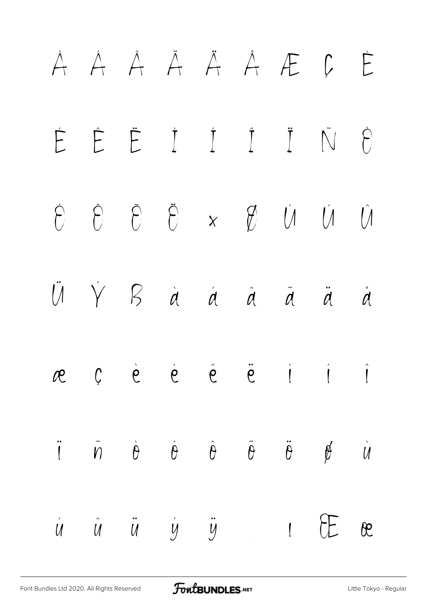# À Á Â Ã Ä Å Æ Ç È É Ê Ë Ì Í Î Ï Ñ Ò Ó Ô Õ Ö × Ø Ù Ú Û  $\ddot{\mathcal{U}} \quad \dot{\mathcal{Y}} \quad \mathcal{B} \quad \dot{\mathcal{A}} \quad \dot{\mathcal{A}} \quad \dot{\mathcal{A}} \quad \dot{\mathcal{A}} \quad \ddot{\mathcal{A}} \quad \ddot{\mathcal{A}} \quad \dot{\mathcal{A}}$ æ ç è é ê ë ì í î ï ñ ò ó ô õ ö ø ù  $\dot{u}$   $\dot{u}$   $\ddot{y}$   $\ddot{y}$   $\ddot{y}$   $\ddot{E}$  be